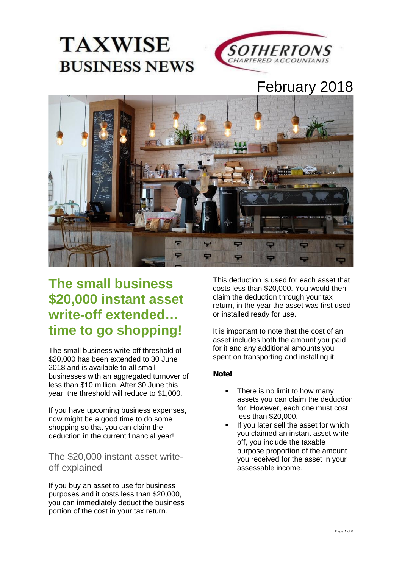



# February 2018



# **The small business \$20,000 instant asset write-off extended… time to go shopping!**

The small business write-off threshold of \$20,000 has been extended to 30 June 2018 and is available to all small businesses with an aggregated turnover of less than \$10 million. After 30 June this year, the threshold will reduce to \$1,000.

If you have upcoming business expenses, now might be a good time to do some shopping so that you can claim the deduction in the current financial year!

#### The \$20,000 instant asset write off explained

If you buy an asset to use for business purposes and it costs less than \$20,000, you can immediately deduct the business portion of the cost in your tax return.

This deduction is used for each asset that costs less than \$20,000. You would then claim the deduction through your tax return, in the year the asset was first used or installed ready for use.

It is important to note that the cost of an asset includes both the amount you paid for it and any additional amounts you spent on transporting and installing it.

#### *Note!*

- There is no limit to how many assets you can claim the deduction for. However, each one must cost less than \$20,000.
- If you later sell the asset for which you claimed an instant asset write off, you include the taxable purpose proportion of the amount you received for the asset in your assessable income.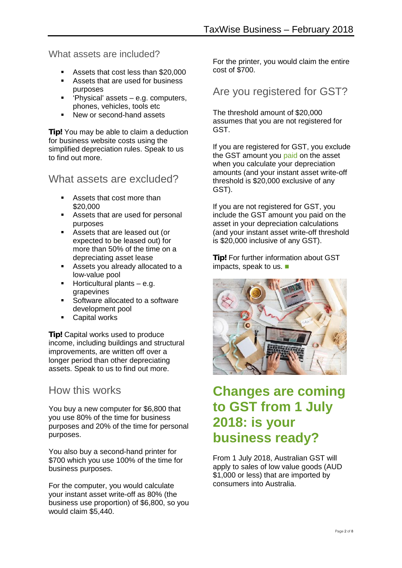What assets are included?

- Assets that cost less than \$20,000
- Assets that are used for business purposes
- $\blacksquare$  'Physical' assets e.g. computers, phones, vehicles, tools etc
- New or second-hand assets

**Tip!** You may be able to claim a deduction for business website costs using the simplified depreciation rules. Speak to us to find out more.

What assets are excluded?

- **Assets that cost more than** \$20,000
- Assets that are used for personal purposes
- Assets that are leased out (or expected to be leased out) for more than 50% of the time on a depreciating asset lease
- Assets you already allocated to a low-value pool
- $\blacksquare$  Horticultural plants e.g. grapevines
- Software allocated to a software development pool
- **Capital works**

**Tip!** Capital works used to produce income, including buildings and structural improvements, are written off over a longer period than other depreciating assets. Speak to us to find out more.

#### How this works

You buy a new computer for \$6,800 that you use 80% of the time for business purposes and 20% of the time for personal purposes.

You also buy a second-hand printer for \$700 which you use 100% of the time for business purposes.

For the computer, you would calculate your instant asset write-off as 80% (the business use proportion) of \$6,800, so you would claim \$5,440.

For the printer, you would claim the entire cost of \$700.

### Are you registered for GST?

The threshold amount of \$20,000 assumes that you are not registered for GST.

If you are registered for GST, you exclude the GST amount you paid on the asset when you calculate your depreciation amounts (and your instant asset write-off threshold is \$20,000 exclusive of any GST).

If you are not registered for GST, you include the GST amount you paid on the asset in your depreciation calculations (and your instant asset write-off threshold is \$20,000 inclusive of any GST).

*Tip!* For further information about GST impacts, speak to us.



## **Changes are coming to GST from 1 July 2018: is your business ready?**

From 1 July 2018, Australian GST will apply to sales of low value goods (AUD \$1,000 or less) that are imported by consumers into Australia.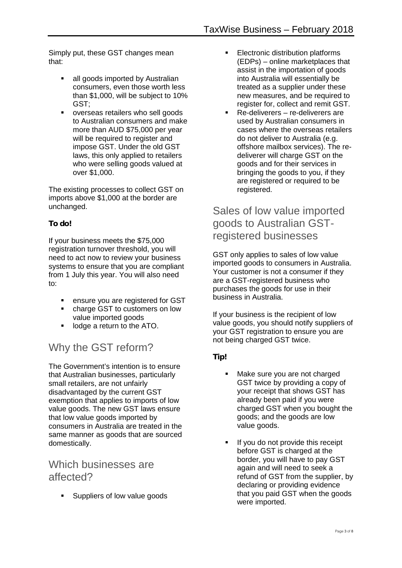Simply put, these GST changes mean that:

- all goods imported by Australian consumers, even those worth less than \$1,000, will be subject to 10% GST;
- overseas retailers who sell goods to Australian consumers and make more than AUD \$75,000 per year will be required to register and impose GST. Under the old GST laws, this only applied to retailers who were selling goods valued at over \$1,000.

The existing processes to collect GST on imports above \$1,000 at the border are unchanged.

#### *To do!*

If your business meets the \$75,000 registration turnover threshold, you will need to act now to review your business systems to ensure that you are compliant from 1 July this year. You will also need to:

- **EXECUTE:** ensure you are registered for GST
- charge GST to customers on low value imported goods
- **IDED** 100000 a return to the ATO.

### Why the GST reform?

The Government's intention is to ensure that Australian businesses, particularly small retailers, are not unfairly disadvantaged by the current GST exemption that applies to imports of low value goods. The new GST laws ensure that low value goods imported by consumers in Australia are treated in the same manner as goods that are sourced domestically.

#### Which businesses are affected?

**Suppliers of low value goods** 

- **Electronic distribution platforms** (EDPs) – online marketplaces that assist in the importation of goods into Australia will essentially be treated as a supplier under these new measures, and be required to register for, collect and remit GST.
- Re-deliverers re-deliverers are used by Australian consumers in cases where the overseas retailers do not deliver to Australia (e.g. offshore mailbox services). The re deliverer will charge GST on the goods and for their services in bringing the goods to you, if they are registered or required to be registered.

### Sales of low value imported goods to Australian GSTregistered businesses

GST only applies to sales of low value imported goods to consumers in Australia. Your customer is not a consumer if they are a GST-registered business who purchases the goods for use in their business in Australia.

If your business is the recipient of low value goods, you should notify suppliers of your GST registration to ensure you are not being charged GST twice.

#### *Tip!*

- Make sure you are not charged GST twice by providing a copy of your receipt that shows GST has already been paid if you were charged GST when you bought the goods; and the goods are low value goods.
- If you do not provide this receipt before GST is charged at the border, you will have to pay GST again and will need to seek a refund of GST from the supplier, by declaring or providing evidence that you paid GST when the goods were imported.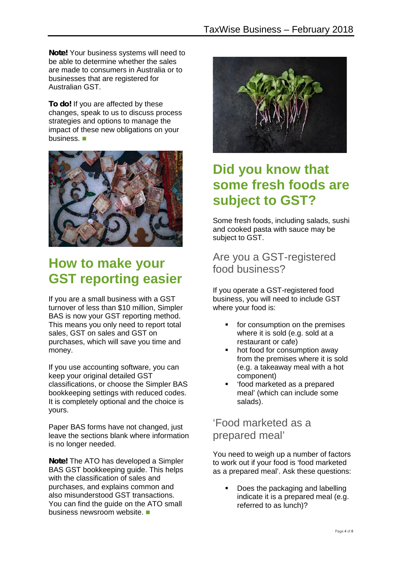*Note!* Your business systems will need to be able to determine whether the sales are made to consumers in Australia or to businesses that are registered for Australian GST.

**To do!** If you are affected by these changes, speak to us to discuss process strategies and options to manage the impact of these new obligations on your business.



## **How to make your GST reporting easier**

If you are a small business with a GST turnover of less than \$10 million, Simpler BAS is now your GST reporting method. This means you only need to report total sales, GST on sales and GST on purchases, which will save you time and money.

If you use accounting software, you can keep your original detailed GST classifications, or choose the Simpler BAS bookkeeping settings with reduced codes. It is completely optional and the choice is yours.

Paper BAS forms have not changed, just leave the sections blank where information is no longer needed.

*Note!* The ATO has developed a Simpler BAS GST bookkeeping guide. This helps with the classification of sales and purchases, and explains common and also misunderstood GST transactions. You can find the guide on the ATO small business newsroom website.



## **Did you know that some fresh foods are subject to GST?**

Some fresh foods, including salads, sushi and cooked pasta with sauce may be subject to GST.

### Are you a GST-registered food business?

If you operate a GST-registered food business, you will need to include GST where your food is:

- **for consumption on the premises** where it is sold (e.g. sold at a restaurant or cafe)
- hot food for consumption away from the premises where it is sold (e.g. a takeaway meal with a hot component)
- 'food marketed as a prepared meal' (which can include some salads).

'Food marketed as a prepared meal'

You need to weigh up a number of factors to work out if your food is 'food marketed as a prepared meal'. Ask these questions:

 Does the packaging and labelling indicate it is a prepared meal (e.g. referred to as lunch)?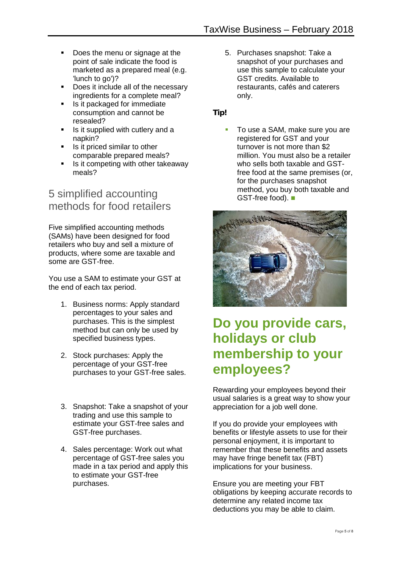- Does the menu or signage at the point of sale indicate the food is marketed as a prepared meal (e.g. 'lunch to go')?
- Does it include all of the necessary ingredients for a complete meal?
- Is it packaged for immediate consumption and cannot be resealed?
- Is it supplied with cutlery and a napkin?
- $\blacksquare$  Is it priced similar to other comparable prepared meals?
- Is it competing with other takeaway meals?

### 5 simplified accounting methods for food retailers

Five simplified accounting methods (SAMs) have been designed for food retailers who buy and sell a mixture of products, where some are taxable and some are GST-free.

You use a SAM to estimate your GST at the end of each tax period.

- 1. Business norms: Apply standard percentages to your sales and purchases. This is the simplest method but can only be used by specified business types.
- 2. Stock purchases: Apply the percentage of your GST-free purchases to your GST-free sales.
- 3. Snapshot: Take a snapshot of your trading and use this sample to estimate your GST-free sales and GST-free purchases.
- 4. Sales percentage: Work out what percentage of GST-free sales you made in a tax period and apply this to estimate your GST-free purchases.

5. Purchases snapshot: Take a snapshot of your purchases and use this sample to calculate your GST credits. Available to restaurants, cafés and caterers only.

*Tip!*

 To use a SAM, make sure you are registered for GST and your turnover is not more than \$2 million. You must also be a retailer who sells both taxable and GSTfree food at the same premises (or, for the purchases snapshot method, you buy both taxable and GST-free food).



## **Do you provide cars, holidays or club membership to your employees?**

Rewarding your employees beyond their usual salaries is a great way to show your appreciation for a job well done.

If you do provide your employees with benefits or lifestyle assets to use for their personal enjoyment, it is important to remember that these benefits and assets may have fringe benefit tax (FBT) implications for your business.

Ensure you are meeting your FBT obligations by keeping accurate records to determine any related income tax deductions you may be able to claim.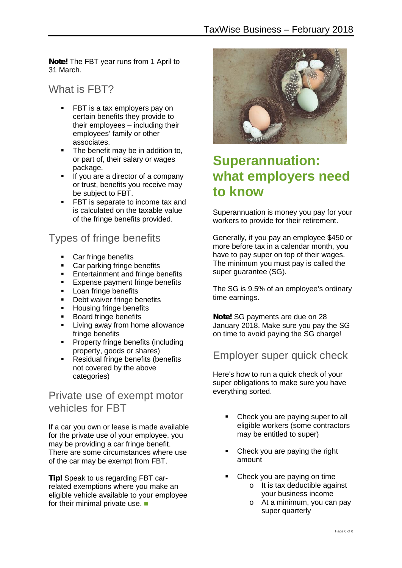*Note!* The FBT year runs from 1 April to 31 March.

### What is FBT?

- FBT is a tax employers pay on certain benefits they provide to their employees – including their employees' family or other associates.
- The benefit may be in addition to, or part of, their salary or wages package.
- **If you are a director of a company** or trust, benefits you receive may be subject to FBT.
- FBT is separate to income tax and is calculated on the taxable value of the fringe benefits provided.

### Types of fringe benefits

- Car fringe benefits
- Car parking fringe benefits
- **Entertainment and fringe benefits**
- **Expense payment fringe benefits**<br> **Expense payment is a local fringe benefits**
- Loan fringe benefits
- **Debt waiver fringe benefits**<br>Busing fringe benefits
- Housing fringe benefits
- **Board fringe benefits**
- **EXECUTE:** Living away from home allowance fringe benefits
- **Property fringe benefits (including** property, goods or shares)
- **Residual fringe benefits (benefits** not covered by the above categories)

#### Private use of exempt motor vehicles for FBT

If a car you own or lease is made available for the private use of your employee, you may be providing a car fringe benefit. There are some circumstances where use of the car may be exempt from FBT.

*Tip!* Speak to us regarding FBT carrelated exemptions where you make an eligible vehicle available to your employee for their minimal private use.



### **Superannuation: what employers need to know**

Superannuation is money you pay for your workers to provide for their retirement.

Generally, if you pay an employee \$450 or more before tax in a calendar month, you have to pay super on top of their wages. The minimum you must pay is called the super guarantee (SG).

The SG is 9.5% of an employee's ordinary time earnings.

*Note!* SG payments are due on 28 January 2018. Make sure you pay the SG on time to avoid paying the SG charge!

#### Employer super quick check

Here's how to run a quick check of your super obligations to make sure you have everything sorted.

- Check you are paying super to all eligible workers (some contractors may be entitled to super)
- Check you are paying the right amount
- Check you are paying on time
	- o It is tax deductible against your business income
	- o At a minimum, you can pay super quarterly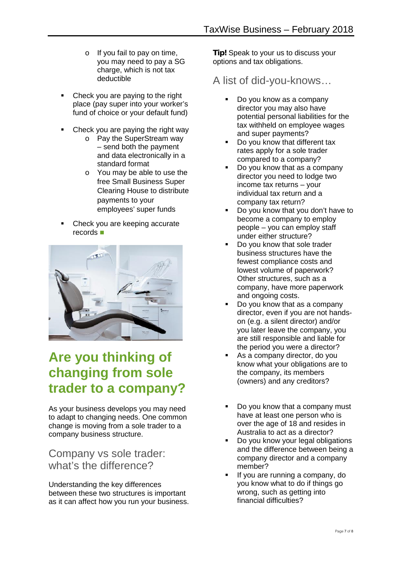- o If you fail to pay on time, you may need to pay a SG charge, which is not tax deductible
- Check you are paying to the right place (pay super into your worker's fund of choice or your default fund)
- Check you are paying the right way
	- o Pay the SuperStream way – send both the payment and data electronically in a standard format
	- o You may be able to use the free Small Business Super Clearing House to distribute payments to your employees' super funds
- Check you are keeping accurate records



## **Are you thinking of changing from sole trader to a company?**

As your business develops you may need to adapt to changing needs. One common change is moving from a sole trader to a company business structure.

### Company vs sole trader: what's the difference?

Understanding the key differences between these two structures is important as it can affect how you run your business. **Tip!** Speak to your us to discuss your options and tax obligations.

A list of did-you-knows…

- Do you know as a company director you may also have potential personal liabilities for the tax withheld on employee wages and super payments?
- Do you know that different tax rates apply for a sole trader compared to a company?
- Do you know that as a company director you need to lodge two income tax returns – your individual tax return and a company tax return?
- Do you know that you don't have to become a company to employ people – you can employ staff under either structure?
- Do you know that sole trader business structures have the fewest compliance costs and lowest volume of paperwork? Other structures, such as a company, have more paperwork and ongoing costs.
- Do you know that as a company director, even if you are not hands on (e.g. a silent director) and/or you later leave the company, you are still responsible and liable for the period you were a director?
- As a company director, do you know what your obligations are to the company, its members (owners) and any creditors?
- Do you know that a company must have at least one person who is over the age of 18 and resides in Australia to act as a director?
- Do you know your legal obligations and the difference between being a company director and a company member?
- If you are running a company, do you know what to do if things go wrong, such as getting into financial difficulties?